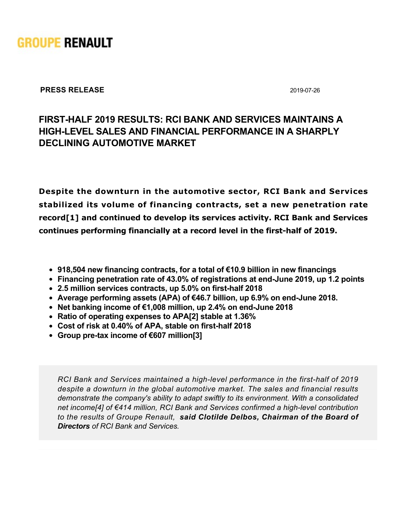

**PRESS RELEASE** 2019-07-26

# **FIRSTHALF 2019 RESULTS: RCI BANK AND SERVICES MAINTAINS A HIGHLEVEL SALES AND FINANCIAL PERFORMANCE IN A SHARPLY DECLINING AUTOMOTIVE MARKET**

**Despite the downturn in the automotive sector, RCI Bank and Services stabilized its volume of financing contracts, set a new penetration rate record[1] and continued to develop its services activity. RCI Bank and Services** continues performing financially at a record level in the first-half of 2019.

- **918,504 new financing contracts, for a total of €10.9 billion in new financings**
- Financing penetration rate of 43.0% of registrations at end-June 2019, up 1.2 points
- **2.5 million services contracts, up 5.0% on firsthalf 2018**
- **Average performing assets (APA) of €46.7 billion, up 6.9% on endJune 2018.**
- **Net banking income of €1,008 million, up 2.4% on endJune 2018**
- **Ratio of operating expenses to APA[2] stable at 1.36%**
- Cost of risk at 0.40% of APA, stable on first-half 2018
- **Group pre-tax income of €607 million[3]**

*RCI Bank and Services maintained a high-level performance in the first-half of 2019 despite a downturn in the global automotive market. The sales and financial results demonstrate the company's ability to adapt swiftly to its environment. With a consolidated net income[4] of €414 million, RCI Bank and Services confirmed a high-level contribution to the results of Groupe Renault, said Clotilde Delbos, Chairman of the Board of Directors of RCI Bank and Services.*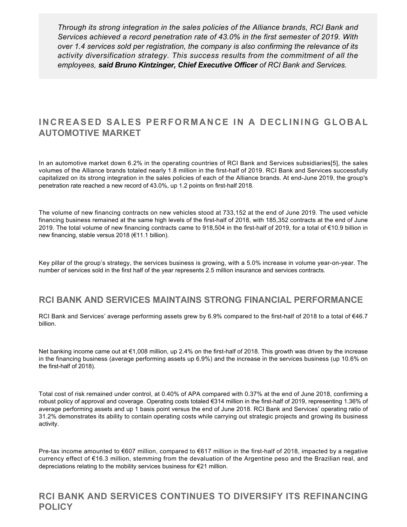*Through its strong integration in the sales policies of the Alliance brands, RCI Bank and Services achieved a record penetration rate of 43.0% in the first semester of 2019. With over 1.4 services sold per registration, the company is also confirming the relevance of its activity diversification strategy. This success results from the commitment of all the employees, said Bruno Kintzinger, Chief Executive Officer of RCI Bank and Services.*

## **INCREASED SALES PERFORMANCE IN A DECLINING GLOBAL AUTOMOTIVE MARKET**

In an automotive market down 6.2% in the operating countries of RCI Bank and Services subsidiaries[5], the sales volumes of the Alliance brands totaled nearly 1.8 million in the first-half of 2019. RCI Bank and Services successfully capitalized on its strong integration in the sales policies of each of the Alliance brands. At end-June 2019, the group's penetration rate reached a new record of 43.0%, up 1.2 points on first-half 2018.

The volume of new financing contracts on new vehicles stood at 733,152 at the end of June 2019. The used vehicle financing business remained at the same high levels of the first-half of 2018, with 185,352 contracts at the end of June 2019. The total volume of new financing contracts came to 918,504 in the firsthalf of 2019, for a total of €10.9 billion in new financing, stable versus 2018 (€11.1 billion).

Key pillar of the group's strategy, the services business is growing, with a 5.0% increase in volume year-on-year. The number of services sold in the first half of the year represents 2.5 million insurance and services contracts.

### **RCI BANK AND SERVICES MAINTAINS STRONG FINANCIAL PERFORMANCE**

RCI Bank and Services' average performing assets grew by 6.9% compared to the first-half of 2018 to a total of €46.7 billion.

Net banking income came out at €1,008 million, up 2.4% on the first-half of 2018. This growth was driven by the increase in the financing business (average performing assets up 6.9%) and the increase in the services business (up 10.6% on the first-half of 2018).

Total cost of risk remained under control, at 0.40% of APA compared with 0.37% at the end of June 2018, confirming a robust policy of approval and coverage. Operating costs totaled €314 million in the firsthalf of 2019, representing 1.36% of average performing assets and up 1 basis point versus the end of June 2018. RCI Bank and Services' operating ratio of 31.2% demonstrates its ability to contain operating costs while carrying out strategic projects and growing its business activity.

Pre-tax income amounted to  $\epsilon$ 607 million, compared to  $\epsilon$ 617 million in the first-half of 2018, impacted by a negative currency effect of €16.3 million, stemming from the devaluation of the Argentine peso and the Brazilian real, and depreciations relating to the mobility services business for €21 million.

### **RCI BANK AND SERVICES CONTINUES TO DIVERSIFY ITS REFINANCING POLICY**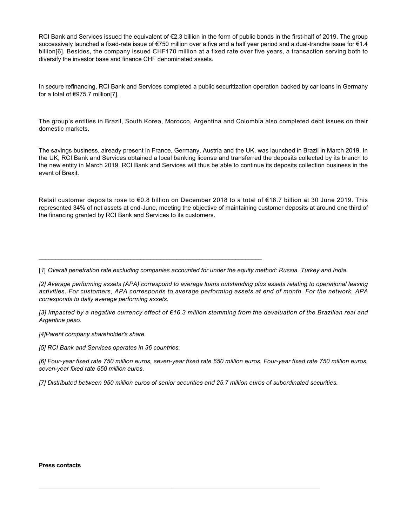RCI Bank and Services issued the equivalent of €2.3 billion in the form of public bonds in the first-half of 2019. The group successively launched a fixed-rate issue of €750 million over a five and a half year period and a dual-tranche issue for €1.4 billion[6]. Besides, the company issued CHF170 million at a fixed rate over five years, a transaction serving both to diversify the investor base and finance CHF denominated assets.

In secure refinancing, RCI Bank and Services completed a public securitization operation backed by car loans in Germany for a total of €975.7 million[7].

The group's entities in Brazil, South Korea, Morocco, Argentina and Colombia also completed debt issues on their domestic markets.

The savings business, already present in France, Germany, Austria and the UK, was launched in Brazil in March 2019. In the UK, RCI Bank and Services obtained a local banking license and transferred the deposits collected by its branch to the new entity in March 2019. RCI Bank and Services will thus be able to continue its deposits collection business in the event of Brexit.

Retail customer deposits rose to €0.8 billion on December 2018 to a total of €16.7 billion at 30 June 2019. This represented 34% of net assets at end-June, meeting the objective of maintaining customer deposits at around one third of the financing granted by RCI Bank and Services to its customers.

[*1*] *Overall penetration rate excluding companies accounted for under the equity method: Russia, Turkey and India.*

\_\_\_\_\_\_\_\_\_\_\_\_\_\_\_\_\_\_\_\_\_\_\_\_\_\_\_\_\_\_\_\_\_\_\_\_\_\_\_\_\_\_\_\_\_\_\_\_\_\_\_\_\_\_\_\_\_\_\_\_\_\_\_\_\_\_\_\_

*[2] Average performing assets (APA) correspond to average loans outstanding plus assets relating to operational leasing activities. For customers, APA corresponds to average performing assets at end of month. For the network, APA corresponds to daily average performing assets.*

*[3] Impacted by a negative currency effect of €16.3 million stemming from the devaluation of the Brazilian real and Argentine peso.*

*[4]Parent company shareholder's share.*

*[5] RCI Bank and Services operates in 36 countries.*

*[6] Fouryear fixed rate 750 million euros, sevenyear fixed rate 650 million euros. Fouryear fixed rate 750 million euros, sevenyear fixed rate 650 million euros.*

*[7] Distributed between 950 million euros of senior securities and 25.7 million euros of subordinated securities.*

#### **Press contacts**